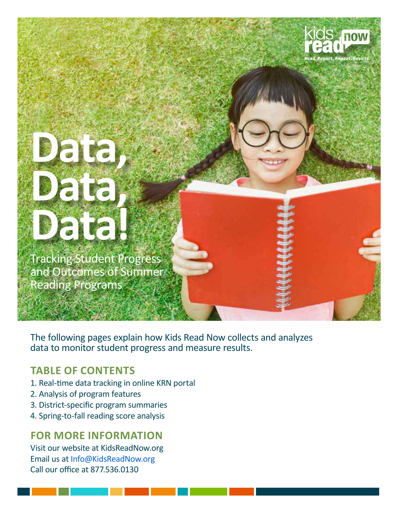

**Data, Data, Data!**

Tracking Student Progress and Outcomes of Summer Reading Programs

The following pages explain how Kids Read Now collects and analyzes data to monitor student progress and measure results.

### **TABLE OF CONTENTS**

- 1. Real-time data tracking in online KRN portal
- 2. Analysis of program features
- 3. District-specific program summaries
- 4. Spring-to-fall reading score analysis

### **FOR MORE INFORMATION**

Visit our website at KidsReadNow.org Email us at Info@KidsReadNow.org Call our office at 877.536.0130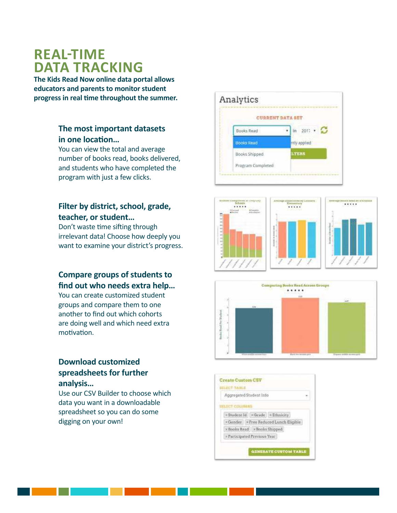### **REAL-TIME DATA TRACKING**

**The Kids Read Now online data portal allows educators and parents to monitor student progress in real time throughout the summer.**

### **The most important datasets in one location…**

You can view the total and average number of books read, books delivered, and students who have completed the program with just a few clicks.

### **Filter by district, school, grade, teacher, or student…**

Don't waste time sifting through irrelevant data! Choose how deeply you want to examine your district's progress.

### **Compare groups of students to find out who needs extra help…**

You can create customized student groups and compare them to one another to find out which cohorts are doing well and which need extra motivation.

### **Download customized spreadsheets for further analysis…**

Use our CSV Builder to choose which data you want in a downloadable spreadsheet so you can do some digging on your own!







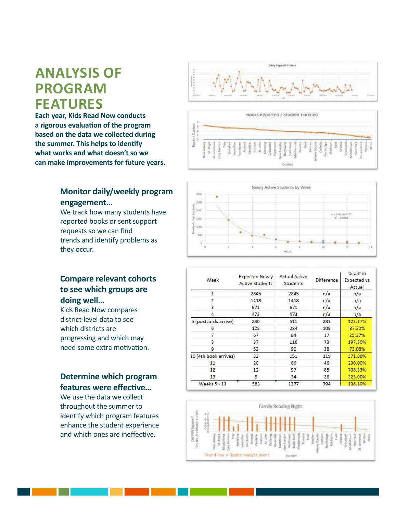## **ANALYSIS OF PROGRAM FEATURES**

**Each year, Kids Read Now conducts a rigorous evaluation of the program based on the data we collected during the summer. This helps to identify what works and what doesn't so we can make improvements for future years.**

### **Monitor daily/weekly program engagement…**

We track how many students have reported books or sent support requests so we can find trends and identify problems as they occur.







### **Compare relevant cohorts to see which groups are doing well…**

Kids Read Now compares district-level data to see which districts are progressing and which may need some extra motivation.

### **Determine which program features were effective…**

We use the data we collect throughout the summer to identify which program features enhance the student experience and which ones are ineffective.

| Week                  | <b>Expected Newly</b><br><b>Active Students</b> | <b>Actual Active</b><br>Students | Difference | % UITT IN<br>Expected vs<br>Actual |  |  |
|-----------------------|-------------------------------------------------|----------------------------------|------------|------------------------------------|--|--|
| 1                     | 2845                                            | 2845                             | n/a        | n/a                                |  |  |
| 2                     | 1418                                            | 1418                             | n/a        | n/a                                |  |  |
| 3                     | 671                                             | 671                              | n/a        | n/a                                |  |  |
| 4                     | 473                                             | 473                              | n/a        | n/a                                |  |  |
| 5 (postcards arrive)  | 230                                             | 511                              | 281        | 122.17%                            |  |  |
| 6                     | 125                                             | 234                              | 109        | 87.20%                             |  |  |
|                       | 67                                              | 84                               | 17         | 25.37%                             |  |  |
| 8                     | 37                                              | 110                              | 73         | 197.30%                            |  |  |
| 9                     | 52                                              | 90                               | 38         | 73.08%                             |  |  |
| 10 (4th book arrives) | 32                                              | 151                              | 119        | 371.88%                            |  |  |
| 11                    | 20                                              | 66                               | 46         | 230.00%                            |  |  |
| 12                    | 12                                              | 97                               | 85         | 708.33%                            |  |  |
| 13                    | 8                                               | 34                               | 26         | 325.00%                            |  |  |
| Weeks 5 - 13          | 583                                             | 1377                             | 794        | 136.19%                            |  |  |

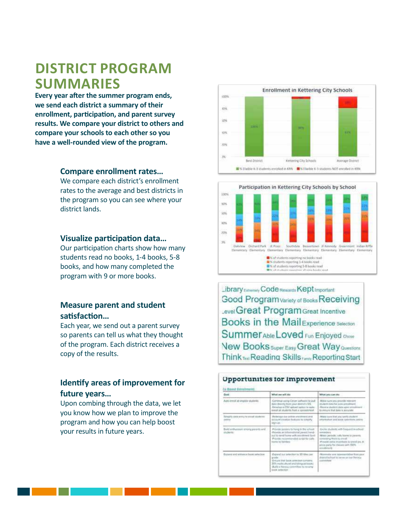# **DISTRICT PROGRAM SUMMARIES**

**Every year after the summer program ends, we send each district a summary of their enrollment, participation, and parent survey results. We compare your district to others and compare your schools to each other so you have a well-rounded view of the program.**

### **Compare enrollment rates…**

We compare each district's enrollment rates to the average and best districts in the program so you can see where your district lands.

#### **Visualize participation data…**

Our participation charts show how many students read no books, 1-4 books, 5-8 books, and how many completed the program with 9 or more books.

### **Measure parent and student satisfaction…**

Each year, we send out a parent survey so parents can tell us what they thought of the program. Each district receives a copy of the results.

### **Identify areas of improvement for future years…**

Upon combing through the data, we let you know how we plan to improve the program and how you can help boost your results in future years.





Library Extremely Code Rewards Kept Important Good Program Variety of Books Receiving Level Great Program Great Incentive **Books in the Mail Experience Selection** Summer Able Loved Fun Enjoyed chose **New Books** Super Easy Great Way Questions Think Test Reading Skills Reporting Start

#### **Upportunities for Improvement** *<u>Tu Bonst Entrubment</u>* What we will do: What you can do  $0 - 4$ Auto event at angole students Commun using Ceiver jathware to put Make sure you provide rate data directly from your direct is Kits<br>Develop a CSV apboart contact to auto<br>meet als students from a spreadcheef America student data aperture<br>la remune Mat data la personal Singally state army to smuch students deducigo con prime apastment and<br>scrissive anadale faatures to satelrity Make pure that you sents at **ATILO** -<br>Princede province to hang in the LCA<br>Phonebe are intermediated for the United States **Build and** resis anony presidents ul 10 m<br>Pointe Makir (e aller valle house by pay And cold for Provede exita Incentives to severilize. A<br>Asia party for classes sain 100% panel and enforced book subscio-Export our selector to 30 Mire per Maxwell and representative from pay greater that book selection company<br>20% multicultural and following books<br>dluftly a Herrica committee to review